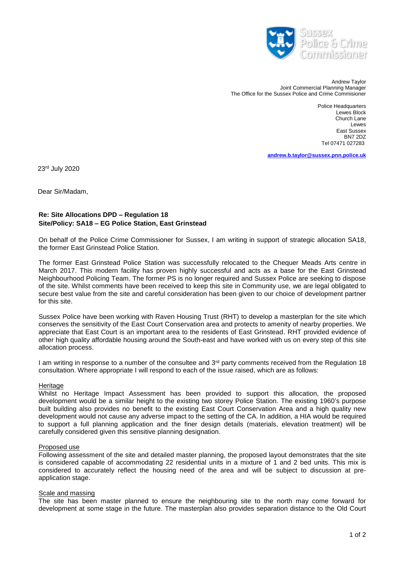

 Andrew Taylor Joint Commercial Planning Manager The Office for the Sussex Police and Crime Commisioner

> Police Headquarters Lewes Block Church Lane **Lewes** East Sussex BN7 2DZ Tel 07471 027283

**[andrew.b.taylor@sussex.pnn.police.uk](mailto:andrew.b.taylor@sussex.pnn.police.uk)**

23 rd July 2020

Dear Sir/Madam,

# **Re: Site Allocations DPD – Regulation 18 Site/Policy: SA18 – EG Police Station, East Grinstead**

On behalf of the Police Crime Commissioner for Sussex, I am writing in support of strategic allocation SA18, the former East Grinstead Police Station.

The former East Grinstead Police Station was successfully relocated to the Chequer Meads Arts centre in March 2017. This modern facility has proven highly successful and acts as a base for the East Grinstead Neighbourhood Policing Team. The former PS is no longer required and Sussex Police are seeking to dispose of the site. Whilst comments have been received to keep this site in Community use, we are legal obligated to secure best value from the site and careful consideration has been given to our choice of development partner for this site.

Sussex Police have been working with Raven Housing Trust (RHT) to develop a masterplan for the site which conserves the sensitivity of the East Court Conservation area and protects to amenity of nearby properties. We appreciate that East Court is an important area to the residents of East Grinstead. RHT provided evidence of other high quality affordable housing around the South-east and have worked with us on every step of this site allocation process.

I am writing in response to a number of the consultee and 3<sup>rd</sup> party comments received from the Regulation 18 consultation. Where appropriate I will respond to each of the issue raised, which are as follows:

#### **Heritage**

Whilst no Heritage Impact Assessment has been provided to support this allocation, the proposed development would be a similar height to the existing two storey Police Station. The existing 1960's purpose built building also provides no benefit to the existing East Court Conservation Area and a high quality new development would not cause any adverse impact to the setting of the CA. In addition, a HIA would be required to support a full planning application and the finer design details (materials, elevation treatment) will be carefully considered given this sensitive planning designation.

#### Proposed use

Following assessment of the site and detailed master planning, the proposed layout demonstrates that the site is considered capable of accommodating 22 residential units in a mixture of 1 and 2 bed units. This mix is considered to accurately reflect the housing need of the area and will be subject to discussion at preapplication stage.

#### Scale and massing

The site has been master planned to ensure the neighbouring site to the north may come forward for development at some stage in the future. The masterplan also provides separation distance to the Old Court